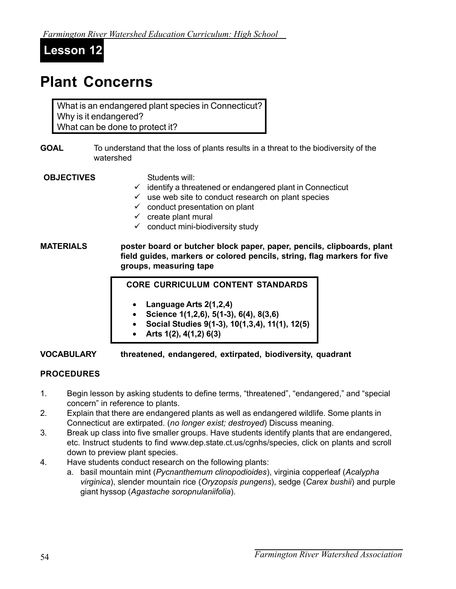**Lesson 12**

# **Plant Concerns**

What is an endangered plant species in Connecticut? Why is it endangered? What can be done to protect it?

**GOAL** To understand that the loss of plants results in a threat to the biodiversity of the watershed

#### **OBJECTIVES** Students will:

- $\checkmark$  identify a threatened or endangered plant in Connecticut
- $\checkmark$  use web site to conduct research on plant species
- $\checkmark$  conduct presentation on plant
- $\checkmark$  create plant mural
- $\checkmark$  conduct mini-biodiversity study

**MATERIALS poster board or butcher block paper, paper, pencils, clipboards, plant field guides, markers or colored pencils, string, flag markers for five groups, measuring tape**

#### **CORE CURRICULUM CONTENT STANDARDS**

- **Language Arts 2(1,2,4)**
- **Science 1(1,2,6), 5(1-3), 6(4), 8(3,6)**
- **Social Studies 9(1-3), 10(1,3,4), 11(1), 12(5)**
- **Arts 1(2), 4(1,2) 6(3)**

**VOCABULARY threatened, endangered, extirpated, biodiversity, quadrant**

## **PROCEDURES**

- 1. Begin lesson by asking students to define terms, "threatened", "endangered," and "special concern" in reference to plants.
- 2. Explain that there are endangered plants as well as endangered wildlife. Some plants in Connecticut are extirpated. (*no longer exist; destroyed*) Discuss meaning.
- 3. Break up class into five smaller groups. Have students identify plants that are endangered, etc. Instruct students to find www.dep.state.ct.us/cgnhs/species, click on plants and scroll down to preview plant species.
- 4. Have students conduct research on the following plants:
	- a. basil mountain mint (*Pycnanthemum clinopodioides*), virginia copperleaf (*Acalypha virginica*), slender mountain rice (*Oryzopsis pungens*), sedge (*Carex bushii*) and purple giant hyssop (*Agastache soropnulaniifolia*).